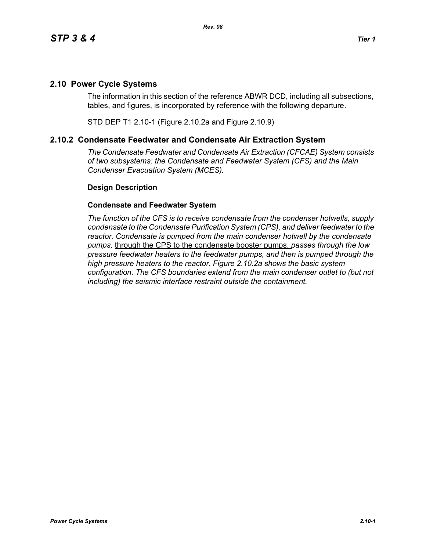## **2.10 Power Cycle Systems**

The information in this section of the reference ABWR DCD, including all subsections, tables, and figures, is incorporated by reference with the following departure.

STD DEP T1 2.10-1 (Figure 2.10.2a and Figure 2.10.9)

## **2.10.2 Condensate Feedwater and Condensate Air Extraction System**

*The Condensate Feedwater and Condensate Air Extraction (CFCAE) System consists of two subsystems: the Condensate and Feedwater System (CFS) and the Main Condenser Evacuation System (MCES).*

## **Design Description**

## **Condensate and Feedwater System**

*The function of the CFS is to receive condensate from the condenser hotwells, supply condensate to the Condensate Purification System (CPS), and deliver feedwater to the reactor. Condensate is pumped from the main condenser hotwell by the condensate pumps,* through the CPS to the condensate booster pumps, *passes through the low pressure feedwater heaters to the feedwater pumps, and then is pumped through the high pressure heaters to the reactor. Figure 2.10.2a shows the basic system configuration. The CFS boundaries extend from the main condenser outlet to (but not including) the seismic interface restraint outside the containment.*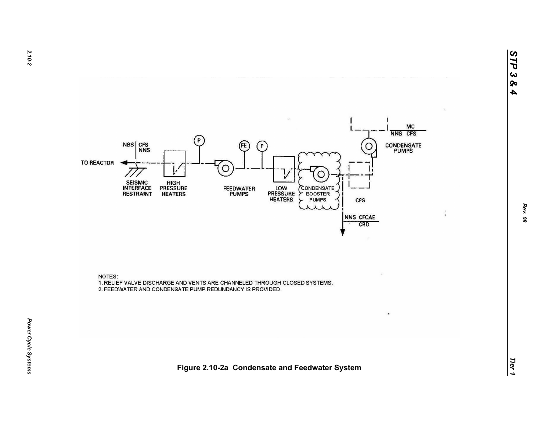

NOTES: 1. RELIEF VALVE DISCHARGE AND VENTS ARE CHANNELED THROUGH CLOSED SYSTEMS. 2. FEEDWATER AND CONDENSATE PUMP REDUNDANCY IS PROVIDED.

*Tier 1***Figure 2.10-2a Condensate and Feedwater System**